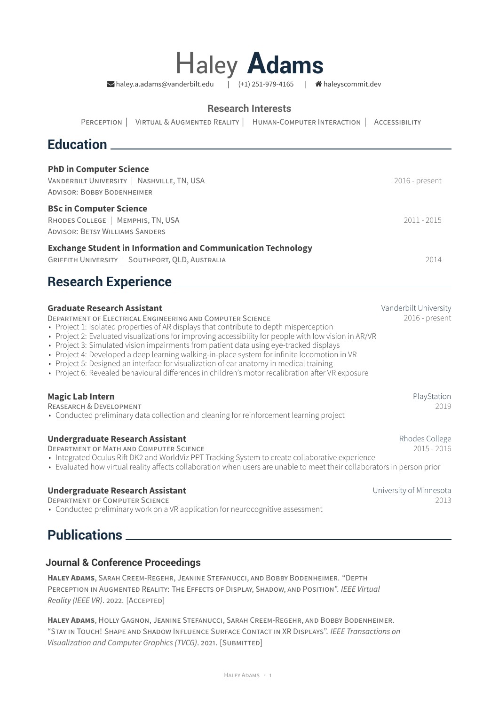

### **Research Interests**

PERCEPTION ∣ VIRTUAL & AUGMENTED REALITY ∣ HUMAN-COMPUTER INTERACTION ∣ ACCESSIBILITY

## **Education**

| <b>PhD in Computer Science</b><br>VANDERBILT UNIVERSITY   NASHVILLE, TN, USA<br><b>ADVISOR: BOBBY BODENHEIMER</b>                                                                                                                                                                                                                                                                                                                                                                                                                                                                                                                                                                                   | 2016 - present                          |
|-----------------------------------------------------------------------------------------------------------------------------------------------------------------------------------------------------------------------------------------------------------------------------------------------------------------------------------------------------------------------------------------------------------------------------------------------------------------------------------------------------------------------------------------------------------------------------------------------------------------------------------------------------------------------------------------------------|-----------------------------------------|
| <b>BSc in Computer Science</b><br>RHODES COLLEGE   MEMPHIS, TN, USA<br><b>ADVISOR: BETSY WILLIAMS SANDERS</b>                                                                                                                                                                                                                                                                                                                                                                                                                                                                                                                                                                                       | $2011 - 2015$                           |
| <b>Exchange Student in Information and Communication Technology</b><br>GRIFFITH UNIVERSITY   SOUTHPORT, QLD, AUSTRALIA                                                                                                                                                                                                                                                                                                                                                                                                                                                                                                                                                                              | 2014                                    |
| <b>Research Experience</b> _____                                                                                                                                                                                                                                                                                                                                                                                                                                                                                                                                                                                                                                                                    |                                         |
| <b>Graduate Research Assistant</b><br><b>DEPARTMENT OF ELECTRICAL ENGINEERING AND COMPUTER SCIENCE</b><br>• Project 1: Isolated properties of AR displays that contribute to depth misperception<br>• Project 2: Evaluated visualizations for improving accessibility for people with low vision in AR/VR<br>• Project 3: Simulated vision impairments from patient data using eye-tracked displays<br>• Project 4: Developed a deep learning walking-in-place system for infinite locomotion in VR<br>• Project 5: Designed an interface for visualization of ear anatomy in medical training<br>• Project 6: Revealed behavioural differences in children's motor recalibration after VR exposure | Vanderbilt University<br>2016 - present |
| <b>Magic Lab Intern</b><br><b>REASEARCH &amp; DEVELOPMENT</b><br>• Conducted preliminary data collection and cleaning for reinforcement learning project                                                                                                                                                                                                                                                                                                                                                                                                                                                                                                                                            | PlayStation<br>2019                     |

### **Undergraduate Research Assistant Riversion College** Rhodes College

DEPARTMENT OF MATH AND COMPUTER SCIENCE 2015 - 2016

• Integrated Oculus Rift DK2 and WorldViz PPT Tracking System to create collaborative experience

• Evaluated how virtual reality affects collaboration when users are unable to meet their collaborators in person prior

### **Undergraduate Research Assistant University of Minnesota**

DEPARTMENT OF COMPUTER SCIENCE 2013

• Conducted preliminary work on a VR application for neurocognitive assessment

## **Publications**

### **Journal & Conference Proceedings**

**HALEY ADAMS**, SARAH CREEM-REGEHR, JEANINE STEFANUCCI, AND BOBBY BODENHEIMER. "DEPTH PERCEPTION IN AUGMENTED REALITY: THE EFFECTS OF DISPLAY, SHADOW, AND POSITION". *IEEE Virtual Reality (IEEE VR)*. 2022. [ACCEPTED]

**HALEY ADAMS**, HOLLY GAGNON, JEANINE STEFANUCCI, SARAH CREEM-REGEHR, AND BOBBY BODENHEIMER. "STAY IN TOUCH! SHAPE AND SHADOW INFLUENCE SURFACE CONTACT IN XR DISPLAYS". *IEEE Transactions on Visualization and Computer Graphics (TVCG)*. 2021. [SUBMITTED]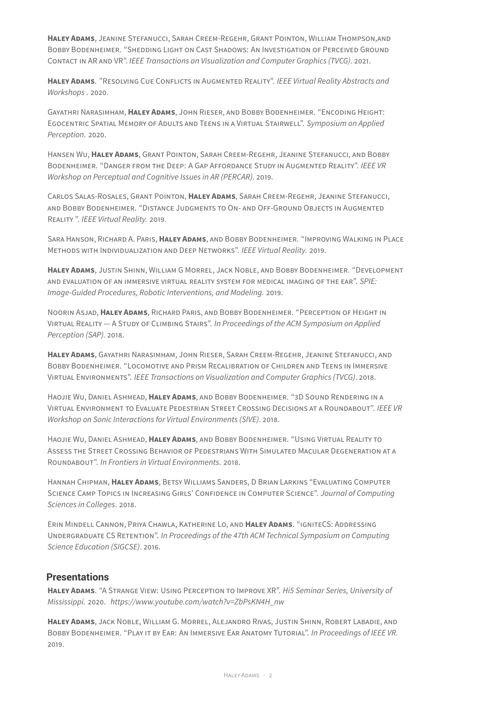**HALEY ADAMS**, JEANINE STEFANUCCI, SARAH CREEM-REGEHR, GRANT POINTON, WILLIAM THOMPSON,AND BOBBY BODENHEIMER. "SHEDDING LIGHT ON CAST SHADOWS: AN INVESTIGATION OF PERCEIVED GROUND CONTACT IN AR AND VR". *IEEE Transactions on Visualization and Computer Graphics (TVCG)*. 2021.

**HALEY ADAMS**. "RESOLVING CUE CONFLICTS IN AUGMENTED REALITY". *IEEE Virtual Reality Abstracts and Workshops* . 2020.

GAYATHRI NARASIMHAM, **HALEY ADAMS**, JOHN RIESER, AND BOBBY BODENHEIMER. "ENCODING HEIGHT: EGOCENTRIC SPATIAL MEMORY OF ADULTS AND TEENS IN A VIRTUAL STAIRWELL". *Symposium on Applied Perception.* 2020.

HANSEN WU, **HALEY ADAMS**, GRANT POINTON, SARAH CREEM-REGEHR, JEANINE STEFANUCCI, AND BOBBY BODENHEIMER. "DANGER FROM THE DEEP: A GAP AFFORDANCE STUDY IN AUGMENTED REALITY". *IEEE VR Workshop on Perceptual and Cognitive Issues in AR (PERCAR).* 2019.

CARLOS SALAS-ROSALES, GRANT POINTON, **HALEY ADAMS**, SARAH CREEM-REGEHR, JEANINE STEFANUCCI, AND BOBBY BODENHEIMER. "DISTANCE JUDGMENTS TO ON- AND OFF-GROUND OBJECTS IN AUGMENTED REALITY ". *IEEE Virtual Reality.* 2019.

SARA HANSON, RICHARD A. PARIS, **HALEY ADAMS**, AND BOBBY BODENHEIMER. "IMPROVING WALKING IN PLACE METHODS WITH INDIVIDUALIZATION AND DEEP NETWORKS". *IEEE Virtual Reality.* 2019.

**HALEY ADAMS**, JUSTIN SHINN, WILLIAM G MORREL, JACK NOBLE, AND BOBBY BODENHEIMER. "DEVELOPMENT AND EVALUATION OF AN IMMERSIVE VIRTUAL REALITY SYSTEM FOR MEDICAL IMAGING OF THE EAR". *SPIE: Image-Guided Procedures, Robotic Interventions, and Modeling.* 2019.

NOORIN ASJAD, **HALEY ADAMS**, RICHARD PARIS, AND BOBBY BODENHEIMER. "PERCEPTION OF HEIGHT IN VIRTUAL REALITY — A STUDY OF CLIMBING STAIRS". *In Proceedings of the ACM Symposium on Applied Perception (SAP).* 2018.

**HALEY ADAMS**, GAYATHRI NARASIMHAM, JOHN RIESER, SARAH CREEM-REGEHR, JEANINE STEFANUCCI, AND BOBBY BODENHEIMER. "LOCOMOTIVE AND PRISM RECALIBRATION OF CHILDREN AND TEENS IN IMMERSIVE VIRTUAL ENVIRONMENTS". *IEEE Transactions on Visualization and Computer Graphics (TVCG)*. 2018.

HAOJIE WU, DANIEL ASHMEAD, **HALEY ADAMS**, AND BOBBY BODENHEIMER. "3D SOUND RENDERING IN A VIRTUAL ENVIRONMENT TO EVALUATE PEDESTRIAN STREET CROSSING DECISIONS AT A ROUNDABOUT". *IEEE VR Workshop on Sonic Interactions for Virtual Environments (SIVE)*. 2018.

HAOJIE WU, DANIEL ASHMEAD, **HALEY ADAMS**, AND BOBBY BODENHEIMER. "USING VIRTUAL REALITY TO ASSESS THE STREET CROSSING BEHAVIOR OF PEDESTRIANS WITH SIMULATED MACULAR DEGENERATION AT A ROUNDABOUT". *In Frontiers in Virtual Environments*. 2018.

HANNAH CHIPMAN, **HALEY ADAMS**, BETSY WILLIAMS SANDERS, D BRIAN LARKINS "EVALUATING COMPUTER SCIENCE CAMP TOPICS IN INCREASING GIRLS' CONFIDENCE IN COMPUTER SCIENCE". *Journal of Computing Sciences in Colleges*. 2018.

ERIN MINDELL CANNON, PRIYA CHAWLA, KATHERINE LO, AND **HALEY ADAMS**. "IGNITECS: ADDRESSING UNDERGRADUATE CS RETENTION". *In Proceedings of the 47th ACM Technical Symposium on Computing Science Education (SIGCSE)*. 2016.

### **Presentations**

**HALEY ADAMS**. "A STRANGE VIEW: USING PERCEPTION TO IMPROVE XR". *Hi5 Seminar Series, University of Mississippi.* 2020. *[https://www.youtube.com/watch?v=ZbPsKN4H\\_nw](https://www.youtube.com/watch?v=ZbPsKN4H_nw)*

**HALEY ADAMS**, JACK NOBLE, WILLIAM G. MORREL, ALEJANDRO RIVAS, JUSTIN SHINN, ROBERT LABADIE, AND BOBBY BODENHEIMER. "PLAY IT BY EAR: AN IMMERSIVE EAR ANATOMY TUTORIAL". *In Proceedings of IEEE VR.* 2019.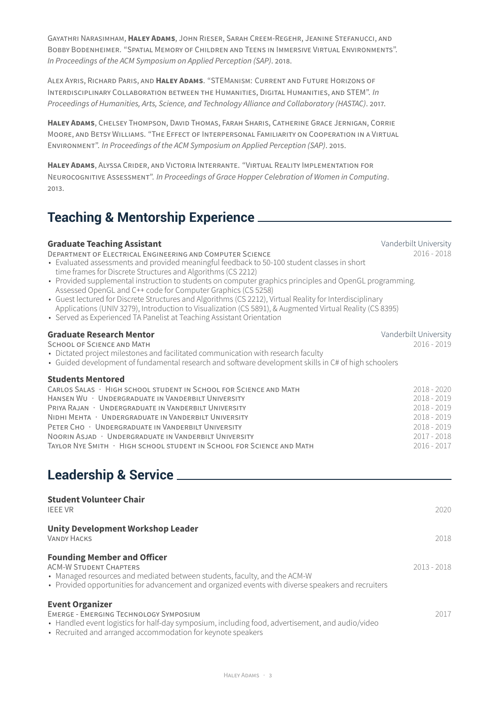GAYATHRI NARASIMHAM, **HALEY ADAMS**, JOHN RIESER, SARAH CREEM-REGEHR, JEANINE STEFANUCCI, AND BOBBY BODENHEIMER. "SPATIAL MEMORY OF CHILDREN AND TEENS IN IMMERSIVE VIRTUAL ENVIRONMENTS". *In Proceedings of the ACM Symposium on Applied Perception (SAP)*. 2018.

ALEX AYRIS, RICHARD PARIS, AND **HALEY ADAMS**. "STEMANISM: CURRENT AND FUTURE HORIZONS OF INTERDISCIPLINARY COLLABORATION BETWEEN THE HUMANITIES, DIGITAL HUMANITIES, AND STEM". *In Proceedings of Humanities, Arts, Science, and Technology Alliance and Collaboratory (HASTAC)*. 2017.

**HALEY ADAMS**, CHELSEY THOMPSON, DAVID THOMAS, FARAH SHARIS, CATHERINE GRACE JERNIGAN, CORRIE MOORE, AND BETSY WILLIAMS. "THE EFFECT OF INTERPERSONAL FAMILIARITY ON COOPERATION IN A VIRTUAL ENVIRONMENT". *In Proceedings of the ACM Symposium on Applied Perception (SAP)*. 2015.

**HALEY ADAMS**, ALYSSA CRIDER, AND VICTORIA INTERRANTE. "VIRTUAL REALITY IMPLEMENTATION FOR NEUROCOGNITIVE ASSESSMENT". *In Proceedings of Grace Hopper Celebration of Women in Computing*. 2013.

## **Teaching & Mentorship Experience**

**Graduate Teaching Assistant**<br>DEPARTMENT OF ELECTRICAL ENGINEERING AND COMPUTER SCIENCE<br>2016 - 2018 DEPARTMENT OF ELECTRICAL ENGINEERING AND COMPUTER SCIENCE

- Evaluated assessments and provided meaningful feedback to 50-100 student classes in short time frames for Discrete Structures and Algorithms (CS 2212)
- Provided supplemental instruction to students on computer graphics principles and OpenGL programming. Assessed OpenGL and C++ code for Computer Graphics (CS 5258)
- Guest lectured for Discrete Structures and Algorithms (CS 2212), Virtual Reality for Interdisciplinary Applications (UNIV 3279), Introduction to Visualization (CS 5891), & Augmented Virtual Reality (CS 8395)
- Served as Experienced TA Panelist at Teaching Assistant Orientation

### **Graduate Research Mentor**<br>**SCHOOL OF SCIENCE AND MATH** 2016 - 2019 SCHOOL OF SCIENCE AND MATH

• Dictated project milestones and facilitated communication with research faculty

• Guided development of fundamental research and software development skills in C# of high schoolers

### **Students Mentored**

| $2018 - 2020$ |
|---------------|
| $2018 - 2019$ |
| $2018 - 2019$ |
| $2018 - 2019$ |
| $2018 - 2019$ |
| 2017 - 2018   |
| $2016 - 2017$ |
|               |

# **Leadership & Service**

| <b>Student Volunteer Chair</b><br><b>IEEE VR</b>                                                                                                                                                                                                                       | 2020          |
|------------------------------------------------------------------------------------------------------------------------------------------------------------------------------------------------------------------------------------------------------------------------|---------------|
| <b>Unity Development Workshop Leader</b><br><b>VANDY HACKS</b>                                                                                                                                                                                                         | 2018          |
| <b>Founding Member and Officer</b><br><b>ACM-W STUDENT CHAPTERS</b><br>• Managed resources and mediated between students, faculty, and the ACM-W<br>• Provided opportunities for advancement and organized events with diverse speakers and recruiters                 | $2013 - 2018$ |
| <b>Event Organizer</b><br>EMERGE - EMERGING TECHNOLOGY SYMPOSIUM<br>• Handled event logistics for half-day symposium, including food, advertisement, and audio/video<br>The constituted are all a second and a concern contract from the second contract of the second | 2017          |

• Recruited and arranged accommodation for keynote speakers